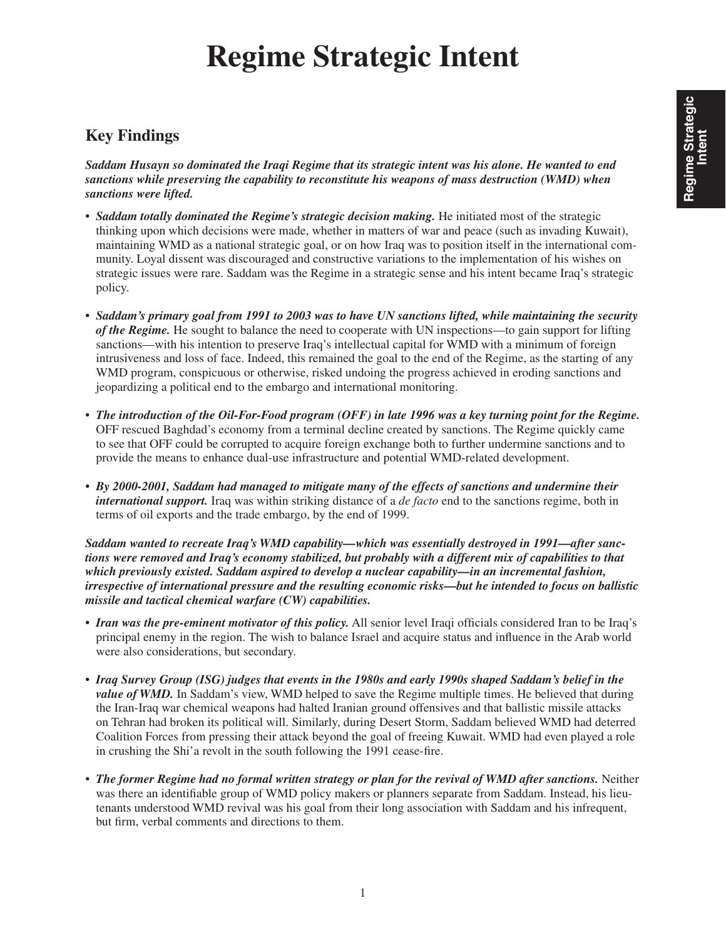# **Regime Strategic Intent**

### **Key Findings**

*Saddam Husayn so dominated the Iraqi Regime that its strategic intent was his alone. He wanted to end sanctions while preserving the capability to reconstitute his weapons of mass destruction (WMD) when sanctions were lifted.*

- *Saddam totally dominated the Regime's strategic decision making.* He initiated most of the strategic thinking upon which decisions were made, whether in matters of war and peace (such as invading Kuwait), maintaining WMD as a national strategic goal, or on how Iraq was to position itself in the international community. Loyal dissent was discouraged and constructive variations to the implementation of his wishes on strategic issues were rare. Saddam was the Regime in a strategic sense and his intent became Iraq's strategic policy.
- *Saddam's primary goal from 1991 to 2003 was to have UN sanctions lifted, while maintaining the security of the Regime.* He sought to balance the need to cooperate with UN inspections—to gain support for lifting sanctions—with his intention to preserve Iraq's intellectual capital for WMD with a minimum of foreign intrusiveness and loss of face. Indeed, this remained the goal to the end of the Regime, as the starting of any WMD program, conspicuous or otherwise, risked undoing the progress achieved in eroding sanctions and jeopardizing a political end to the embargo and international monitoring.
- *The introduction of the Oil-For-Food program (OFF) in late 1996 was a key turning point for the Regime.* OFF rescued Baghdad's economy from a terminal decline created by sanctions. The Regime quickly came to see that OFF could be corrupted to acquire foreign exchange both to further undermine sanctions and to provide the means to enhance dual-use infrastructure and potential WMD-related development.
- *By 2000-2001, Saddam had managed to mitigate many of the effects of sanctions and undermine their international support.* Iraq was within striking distance of a *de facto* end to the sanctions regime, both in terms of oil exports and the trade embargo, by the end of 1999.

*Saddam wanted to recreate Iraq's WMD capability—which was essentially destroyed in 1991—after sanctions were removed and Iraq's economy stabilized, but probably with a different mix of capabilities to that which previously existed. Saddam aspired to develop a nuclear capability—in an incremental fashion, irrespective of international pressure and the resulting economic risks—but he intended to focus on ballistic missile and tactical chemical warfare (CW) capabilities.*

- *Iran was the pre-eminent motivator of this policy*. All senior level Iraqi officials considered Iran to be Iraq's principal enemy in the region. The wish to balance Israel and acquire status and influence in the Arab world were also considerations, but secondary.
- *Iraq Survey Group (ISG) judges that events in the 1980s and early 1990s shaped Saddam's belief in the value of WMD.* In Saddam's view, WMD helped to save the Regime multiple times. He believed that during the Iran-Iraq war chemical weapons had halted Iranian ground offensives and that ballistic missile attacks on Tehran had broken its political will. Similarly, during Desert Storm, Saddam believed WMD had deterred Coalition Forces from pressing their attack beyond the goal of freeing Kuwait. WMD had even played a role in crushing the Shi'a revolt in the south following the 1991 cease-fire.
- *The former Regime had no formal written strategy or plan for the revival of WMD after sanctions.* Neither was there an identifiable group of WMD policy makers or planners separate from Saddam. Instead, his lieutenants understood WMD revival was his goal from their long association with Saddam and his infrequent, but firm, verbal comments and directions to them.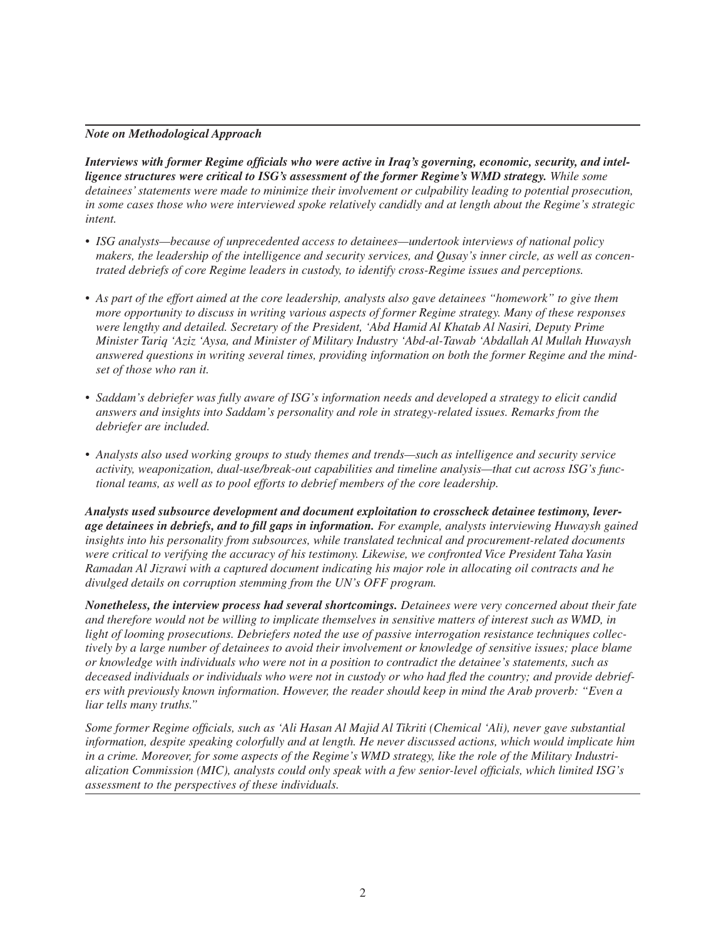#### *Note on Methodological Approach*

*Interviews with former Regime officials who were active in Iraq's governing, economic, security, and intelligence structures were critical to ISG's assessment of the former Regime's WMD strategy. While some detainees' statements were made to minimize their involvement or culpability leading to potential prosecution, in some cases those who were interviewed spoke relatively candidly and at length about the Regime's strategic intent.*

- *ISG analysts—because of unprecedented access to detainees—undertook interviews of national policy makers, the leadership of the intelligence and security services, and Qusay's inner circle, as well as concentrated debriefs of core Regime leaders in custody, to identify cross-Regime issues and perceptions.*
- *As part of the effort aimed at the core leadership, analysts also gave detainees "homework" to give them more opportunity to discuss in writing various aspects of former Regime strategy. Many of these responses were lengthy and detailed. Secretary of the President, 'Abd Hamid Al Khatab Al Nasiri, Deputy Prime Minister Tariq 'Aziz 'Aysa, and Minister of Military Industry 'Abd-al-Tawab 'Abdallah Al Mullah Huwaysh answered questions in writing several times, providing information on both the former Regime and the mindset of those who ran it.*
- *Saddam's debriefer was fully aware of ISG's information needs and developed a strategy to elicit candid answers and insights into Saddam's personality and role in strategy-related issues. Remarks from the debriefer are included.*
- *Analysts also used working groups to study themes and trends—such as intelligence and security service activity, weaponization, dual-use/break-out capabilities and timeline analysis—that cut across ISG's functional teams, as well as to pool efforts to debrief members of the core leadership.*

*Analysts used subsource development and document exploitation to crosscheck detainee testimony, leverage detainees in debriefs, and to fi ll gaps in information. For example, analysts interviewing Huwaysh gained insights into his personality from subsources, while translated technical and procurement-related documents were critical to verifying the accuracy of his testimony. Likewise, we confronted Vice President Taha Yasin Ramadan Al Jizrawi with a captured document indicating his major role in allocating oil contracts and he divulged details on corruption stemming from the UN's OFF program.*

*Nonetheless, the interview process had several shortcomings. Detainees were very concerned about their fate and therefore would not be willing to implicate themselves in sensitive matters of interest such as WMD, in light of looming prosecutions. Debriefers noted the use of passive interrogation resistance techniques collectively by a large number of detainees to avoid their involvement or knowledge of sensitive issues; place blame or knowledge with individuals who were not in a position to contradict the detainee's statements, such as*  deceased individuals or individuals who were not in custody or who had fled the country; and provide debrief*ers with previously known information. However, the reader should keep in mind the Arab proverb: "Even a liar tells many truths."*

*Some former Regime officials, such as 'Ali Hasan Al Majid Al Tikriti (Chemical 'Ali), never gave substantial information, despite speaking colorfully and at length. He never discussed actions, which would implicate him in a crime. Moreover, for some aspects of the Regime's WMD strategy, like the role of the Military Industrialization Commission (MIC), analysts could only speak with a few senior-level officials, which limited ISG's assessment to the perspectives of these individuals.*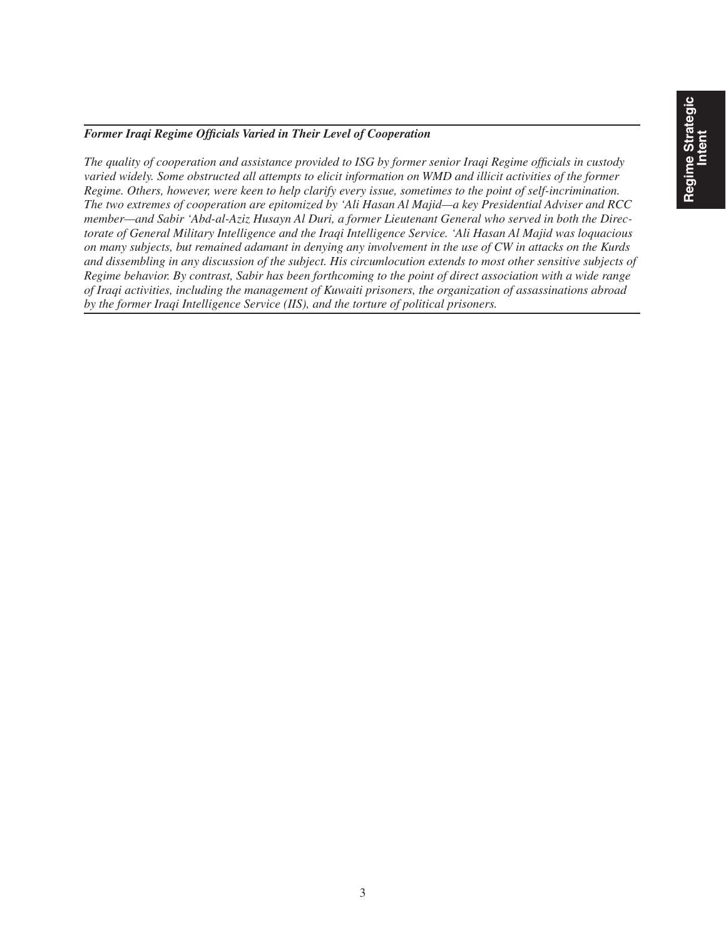#### **Former Iraqi Regime Officials Varied in Their Level of Cooperation**

*The quality of cooperation and assistance provided to ISG by former senior Iraqi Regime officials in custody varied widely. Some obstructed all attempts to elicit information on WMD and illicit activities of the former Regime. Others, however, were keen to help clarify every issue, sometimes to the point of self-incrimination. The two extremes of cooperation are epitomized by 'Ali Hasan Al Majid—a key Presidential Adviser and RCC member—and Sabir 'Abd-al-Aziz Husayn Al Duri, a former Lieutenant General who served in both the Directorate of General Military Intelligence and the Iraqi Intelligence Service. 'Ali Hasan Al Majid was loquacious on many subjects, but remained adamant in denying any involvement in the use of CW in attacks on the Kurds and dissembling in any discussion of the subject. His circumlocution extends to most other sensitive subjects of Regime behavior. By contrast, Sabir has been forthcoming to the point of direct association with a wide range of Iraqi activities, including the management of Kuwaiti prisoners, the organization of assassinations abroad by the former Iraqi Intelligence Service (IIS), and the torture of political prisoners.*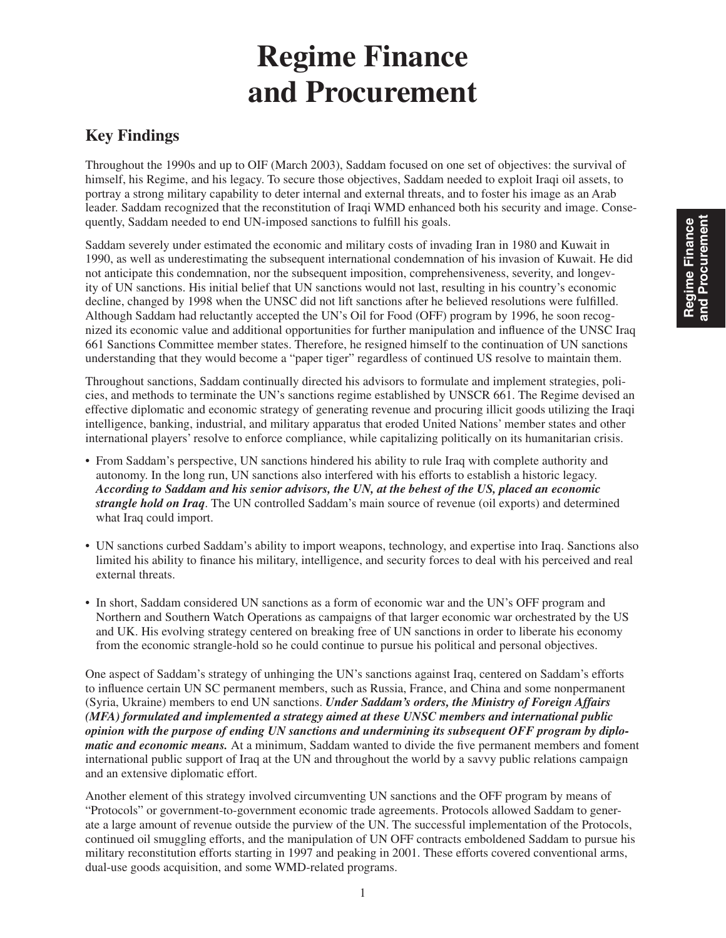## **Regime Finance and Procurement**

### **Key Findings**

Throughout the 1990s and up to OIF (March 2003), Saddam focused on one set of objectives: the survival of himself, his Regime, and his legacy. To secure those objectives, Saddam needed to exploit Iraqi oil assets, to portray a strong military capability to deter internal and external threats, and to foster his image as an Arab leader. Saddam recognized that the reconstitution of Iraqi WMD enhanced both his security and image. Consequently, Saddam needed to end UN-imposed sanctions to fulfill his goals.

Saddam severely under estimated the economic and military costs of invading Iran in 1980 and Kuwait in 1990, as well as underestimating the subsequent international condemnation of his invasion of Kuwait. He did not anticipate this condemnation, nor the subsequent imposition, comprehensiveness, severity, and longevity of UN sanctions. His initial belief that UN sanctions would not last, resulting in his country's economic decline, changed by 1998 when the UNSC did not lift sanctions after he believed resolutions were fulfilled. Although Saddam had reluctantly accepted the UN's Oil for Food (OFF) program by 1996, he soon recognized its economic value and additional opportunities for further manipulation and influence of the UNSC Iraq 661 Sanctions Committee member states. Therefore, he resigned himself to the continuation of UN sanctions understanding that they would become a "paper tiger" regardless of continued US resolve to maintain them.

Throughout sanctions, Saddam continually directed his advisors to formulate and implement strategies, policies, and methods to terminate the UN's sanctions regime established by UNSCR 661. The Regime devised an effective diplomatic and economic strategy of generating revenue and procuring illicit goods utilizing the Iraqi intelligence, banking, industrial, and military apparatus that eroded United Nations' member states and other international players' resolve to enforce compliance, while capitalizing politically on its humanitarian crisis.

- From Saddam's perspective, UN sanctions hindered his ability to rule Iraq with complete authority and autonomy. In the long run, UN sanctions also interfered with his efforts to establish a historic legacy. *According to Saddam and his senior advisors, the UN, at the behest of the US, placed an economic strangle hold on Iraq*. The UN controlled Saddam's main source of revenue (oil exports) and determined what Iraq could import.
- UN sanctions curbed Saddam's ability to import weapons, technology, and expertise into Iraq. Sanctions also limited his ability to finance his military, intelligence, and security forces to deal with his perceived and real external threats.
- In short, Saddam considered UN sanctions as a form of economic war and the UN's OFF program and Northern and Southern Watch Operations as campaigns of that larger economic war orchestrated by the US and UK. His evolving strategy centered on breaking free of UN sanctions in order to liberate his economy from the economic strangle-hold so he could continue to pursue his political and personal objectives.

One aspect of Saddam's strategy of unhinging the UN's sanctions against Iraq, centered on Saddam's efforts to influence certain UN SC permanent members, such as Russia, France, and China and some nonpermanent (Syria, Ukraine) members to end UN sanctions. *Under Saddam's orders, the Ministry of Foreign Affairs (MFA) formulated and implemented a strategy aimed at these UNSC members and international public opinion with the purpose of ending UN sanctions and undermining its subsequent OFF program by diplomatic and economic means.* At a minimum, Saddam wanted to divide the five permanent members and foment international public support of Iraq at the UN and throughout the world by a savvy public relations campaign and an extensive diplomatic effort.

Another element of this strategy involved circumventing UN sanctions and the OFF program by means of "Protocols" or government-to-government economic trade agreements. Protocols allowed Saddam to generate a large amount of revenue outside the purview of the UN. The successful implementation of the Protocols, continued oil smuggling efforts, and the manipulation of UN OFF contracts emboldened Saddam to pursue his military reconstitution efforts starting in 1997 and peaking in 2001. These efforts covered conventional arms, dual-use goods acquisition, and some WMD-related programs.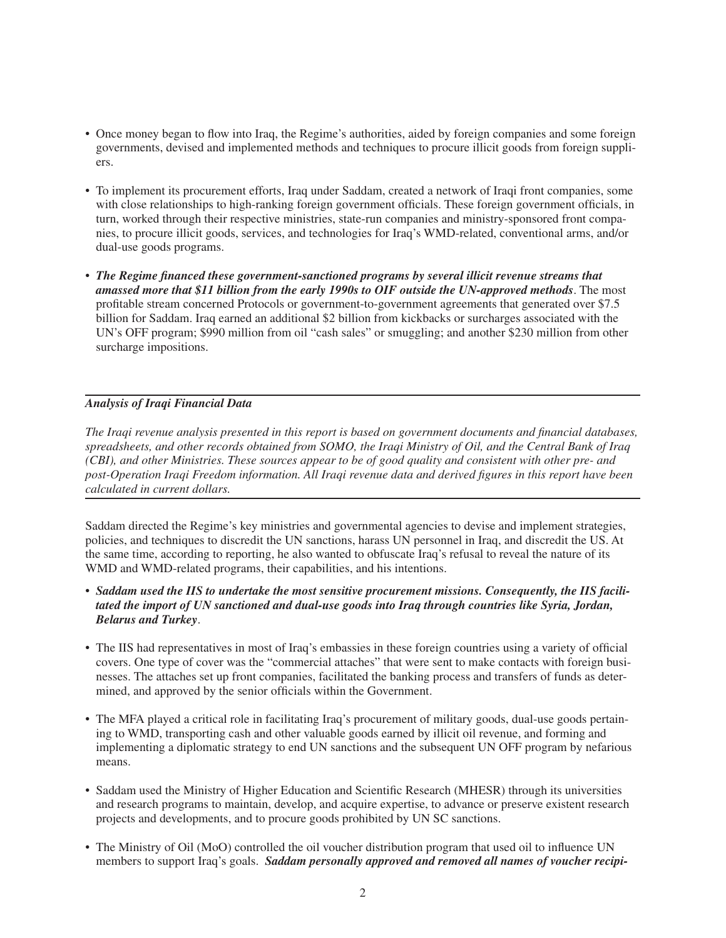- Once money began to flow into Iraq, the Regime's authorities, aided by foreign companies and some foreign governments, devised and implemented methods and techniques to procure illicit goods from foreign suppliers.
- To implement its procurement efforts, Iraq under Saddam, created a network of Iraqi front companies, some with close relationships to high-ranking foreign government officials. These foreign government officials, in turn, worked through their respective ministries, state-run companies and ministry-sponsored front companies, to procure illicit goods, services, and technologies for Iraq's WMD-related, conventional arms, and/or dual-use goods programs.
- The Regime financed these government-sanctioned programs by several illicit revenue streams that *amassed more that \$11 billion from the early 1990s to OIF outside the UN-approved methods*. The most profi table stream concerned Protocols or government-to-government agreements that generated over \$7.5 billion for Saddam. Iraq earned an additional \$2 billion from kickbacks or surcharges associated with the UN's OFF program; \$990 million from oil "cash sales" or smuggling; and another \$230 million from other surcharge impositions.

#### *Analysis of Iraqi Financial Data*

*The Iraqi revenue analysis presented in this report is based on government documents and financial databases, spreadsheets, and other records obtained from SOMO, the Iraqi Ministry of Oil, and the Central Bank of Iraq (CBI), and other Ministries. These sources appear to be of good quality and consistent with other pre- and*  post-Operation Iraqi Freedom information. All Iraqi revenue data and derived figures in this report have been *calculated in current dollars.* 

Saddam directed the Regime's key ministries and governmental agencies to devise and implement strategies, policies, and techniques to discredit the UN sanctions, harass UN personnel in Iraq, and discredit the US. At the same time, according to reporting, he also wanted to obfuscate Iraq's refusal to reveal the nature of its WMD and WMD-related programs, their capabilities, and his intentions.

- *Saddam used the IIS to undertake the most sensitive procurement missions. Consequently, the IIS facilitated the import of UN sanctioned and dual-use goods into Iraq through countries like Syria, Jordan, Belarus and Turkey*.
- The IIS had representatives in most of Iraq's embassies in these foreign countries using a variety of official covers. One type of cover was the "commercial attaches" that were sent to make contacts with foreign businesses. The attaches set up front companies, facilitated the banking process and transfers of funds as determined, and approved by the senior officials within the Government.
- The MFA played a critical role in facilitating Iraq's procurement of military goods, dual-use goods pertaining to WMD, transporting cash and other valuable goods earned by illicit oil revenue, and forming and implementing a diplomatic strategy to end UN sanctions and the subsequent UN OFF program by nefarious means.
- Saddam used the Ministry of Higher Education and Scientific Research (MHESR) through its universities and research programs to maintain, develop, and acquire expertise, to advance or preserve existent research projects and developments, and to procure goods prohibited by UN SC sanctions.
- The Ministry of Oil (MoO) controlled the oil voucher distribution program that used oil to influence UN members to support Iraq's goals. *Saddam personally approved and removed all names of voucher recipi-*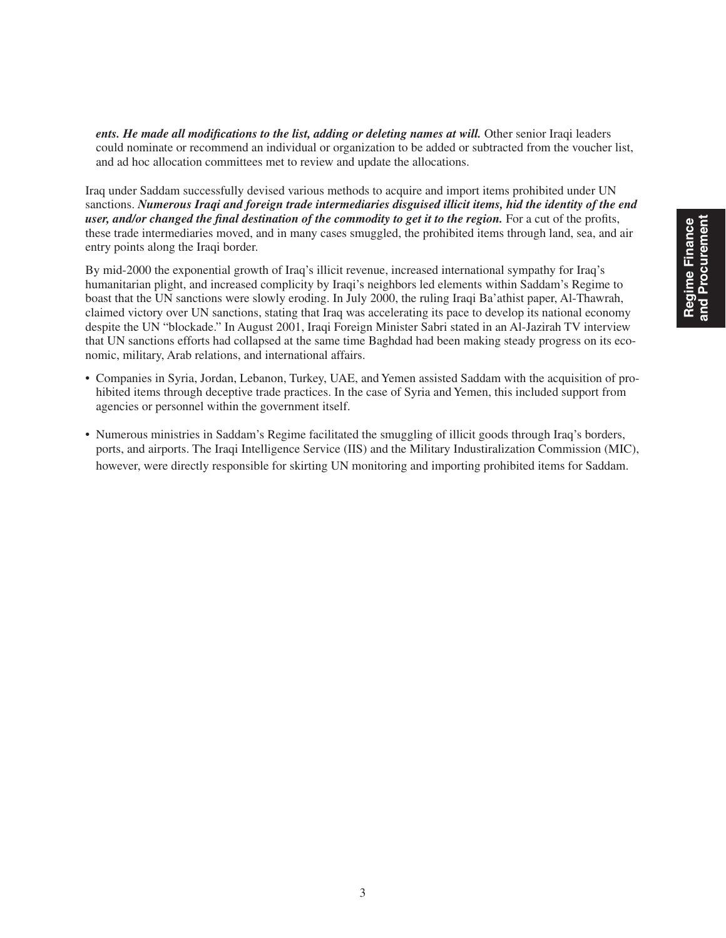ents. He made all modifications to the list, adding or deleting names at will. Other senior Iraqi leaders could nominate or recommend an individual or organization to be added or subtracted from the voucher list, and ad hoc allocation committees met to review and update the allocations.

Iraq under Saddam successfully devised various methods to acquire and import items prohibited under UN sanctions. *Numerous Iraqi and foreign trade intermediaries disguised illicit items, hid the identity of the end user, and/or changed the final destination of the commodity to get it to the region.* For a cut of the profits, these trade intermediaries moved, and in many cases smuggled, the prohibited items through land, sea, and air entry points along the Iraqi border.

By mid-2000 the exponential growth of Iraq's illicit revenue, increased international sympathy for Iraq's humanitarian plight, and increased complicity by Iraqi's neighbors led elements within Saddam's Regime to boast that the UN sanctions were slowly eroding. In July 2000, the ruling Iraqi Ba'athist paper, Al-Thawrah, claimed victory over UN sanctions, stating that Iraq was accelerating its pace to develop its national economy despite the UN "blockade." In August 2001, Iraqi Foreign Minister Sabri stated in an Al-Jazirah TV interview that UN sanctions efforts had collapsed at the same time Baghdad had been making steady progress on its economic, military, Arab relations, and international affairs.

- Companies in Syria, Jordan, Lebanon, Turkey, UAE, and Yemen assisted Saddam with the acquisition of prohibited items through deceptive trade practices. In the case of Syria and Yemen, this included support from agencies or personnel within the government itself.
- Numerous ministries in Saddam's Regime facilitated the smuggling of illicit goods through Iraq's borders, ports, and airports. The Iraqi Intelligence Service (IIS) and the Military Industiralization Commission (MIC), however, were directly responsible for skirting UN monitoring and importing prohibited items for Saddam.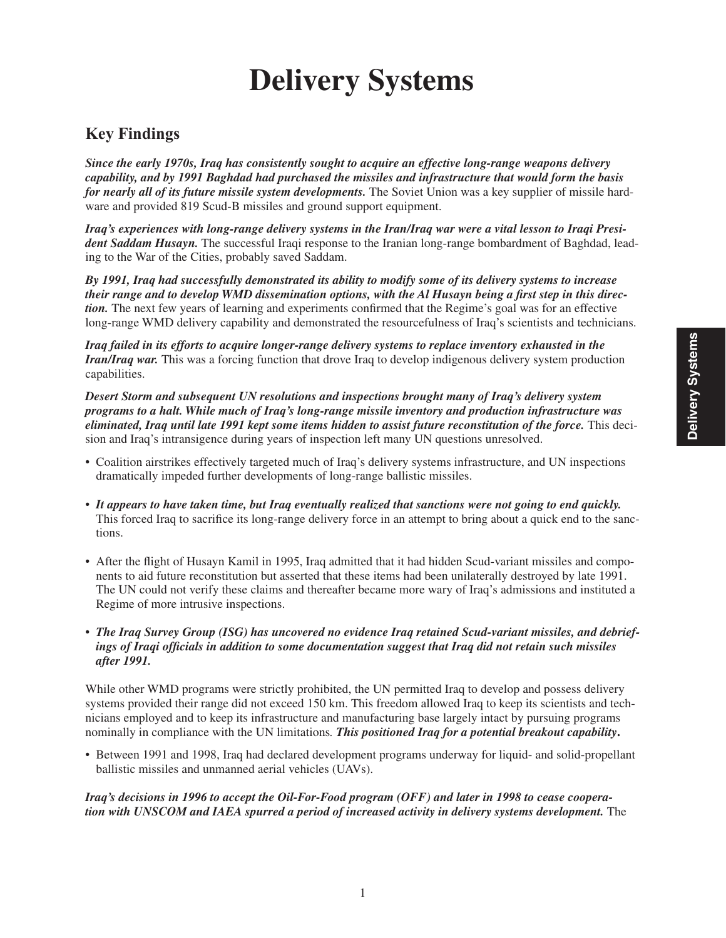## **Delivery Systems**

### **Key Findings**

*Since the early 1970s, Iraq has consistently sought to acquire an effective long-range weapons delivery capability, and by 1991 Baghdad had purchased the missiles and infrastructure that would form the basis for nearly all of its future missile system developments.* The Soviet Union was a key supplier of missile hardware and provided 819 Scud-B missiles and ground support equipment.

*Iraq's experiences with long-range delivery systems in the Iran/Iraq war were a vital lesson to Iraqi Presi*dent Saddam Husayn. The successful Iraqi response to the Iranian long-range bombardment of Baghdad, leading to the War of the Cities, probably saved Saddam.

*By 1991, Iraq had successfully demonstrated its ability to modify some of its delivery systems to increase their range and to develop WMD dissemination options, with the Al Husayn being a first step in this direction*. The next few years of learning and experiments confirmed that the Regime's goal was for an effective long-range WMD delivery capability and demonstrated the resourcefulness of Iraq's scientists and technicians.

*Iraq failed in its efforts to acquire longer-range delivery systems to replace inventory exhausted in the Iran/Iraq war.* This was a forcing function that drove Iraq to develop indigenous delivery system production capabilities.

*Desert Storm and subsequent UN resolutions and inspections brought many of Iraq's delivery system programs to a halt. While much of Iraq's long-range missile inventory and production infrastructure was eliminated, Iraq until late 1991 kept some items hidden to assist future reconstitution of the force.* This decision and Iraq's intransigence during years of inspection left many UN questions unresolved.

- Coalition airstrikes effectively targeted much of Iraq's delivery systems infrastructure, and UN inspections dramatically impeded further developments of long-range ballistic missiles.
- *It appears to have taken time, but Iraq eventually realized that sanctions were not going to end quickly.*  This forced Iraq to sacrifice its long-range delivery force in an attempt to bring about a quick end to the sanctions.
- After the flight of Husayn Kamil in 1995, Iraq admitted that it had hidden Scud-variant missiles and components to aid future reconstitution but asserted that these items had been unilaterally destroyed by late 1991. The UN could not verify these claims and thereafter became more wary of Iraq's admissions and instituted a Regime of more intrusive inspections.
- *The Iraq Survey Group (ISG) has uncovered no evidence Iraq retained Scud-variant missiles, and debriefings of Iraqi officials in addition to some documentation suggest that Iraq did not retain such missiles after 1991.*

While other WMD programs were strictly prohibited, the UN permitted Iraq to develop and possess delivery systems provided their range did not exceed 150 km. This freedom allowed Iraq to keep its scientists and technicians employed and to keep its infrastructure and manufacturing base largely intact by pursuing programs nominally in compliance with the UN limitations*. This positioned Iraq for a potential breakout capability***.**

• Between 1991 and 1998, Iraq had declared development programs underway for liquid- and solid-propellant ballistic missiles and unmanned aerial vehicles (UAVs).

*Iraq's decisions in 1996 to accept the Oil-For-Food program (OFF) and later in 1998 to cease cooperation with UNSCOM and IAEA spurred a period of increased activity in delivery systems development.* The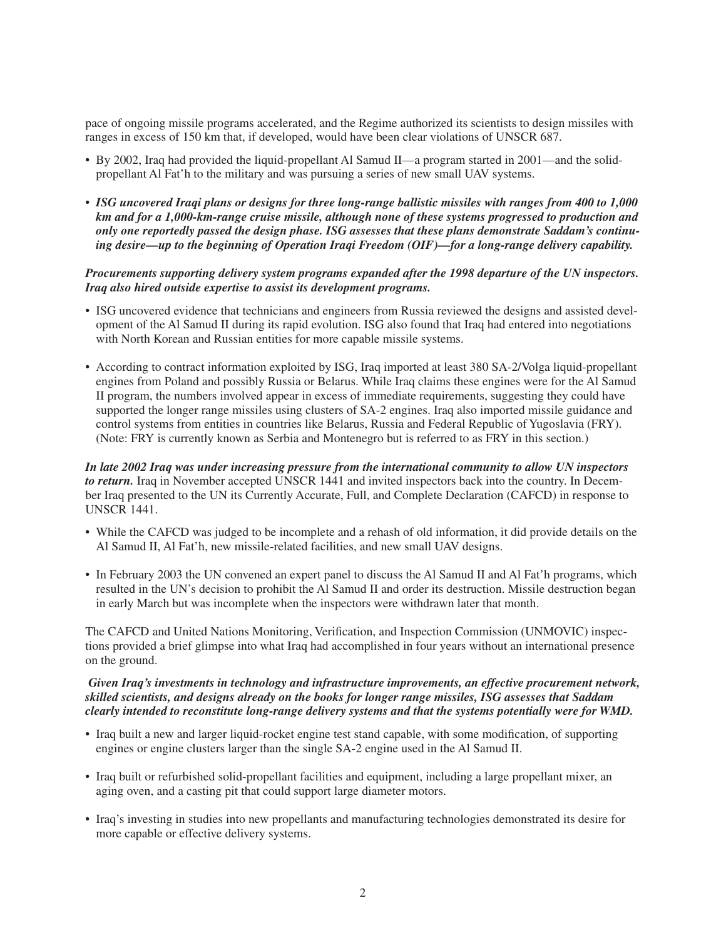pace of ongoing missile programs accelerated, and the Regime authorized its scientists to design missiles with ranges in excess of 150 km that, if developed, would have been clear violations of UNSCR 687.

- By 2002, Iraq had provided the liquid-propellant Al Samud II—a program started in 2001—and the solidpropellant Al Fat'h to the military and was pursuing a series of new small UAV systems.
- *ISG uncovered Iraqi plans or designs for three long-range ballistic missiles with ranges from 400 to 1,000 km and for a 1,000-km-range cruise missile, although none of these systems progressed to production and only one reportedly passed the design phase. ISG assesses that these plans demonstrate Saddam's continuing desire—up to the beginning of Operation Iraqi Freedom (OIF)—for a long-range delivery capability.*

#### *Procurements supporting delivery system programs expanded after the 1998 departure of the UN inspectors. Iraq also hired outside expertise to assist its development programs.*

- ISG uncovered evidence that technicians and engineers from Russia reviewed the designs and assisted development of the Al Samud II during its rapid evolution. ISG also found that Iraq had entered into negotiations with North Korean and Russian entities for more capable missile systems.
- According to contract information exploited by ISG, Iraq imported at least 380 SA-2/Volga liquid-propellant engines from Poland and possibly Russia or Belarus. While Iraq claims these engines were for the Al Samud II program, the numbers involved appear in excess of immediate requirements, suggesting they could have supported the longer range missiles using clusters of SA-2 engines. Iraq also imported missile guidance and control systems from entities in countries like Belarus, Russia and Federal Republic of Yugoslavia (FRY). (Note: FRY is currently known as Serbia and Montenegro but is referred to as FRY in this section.)

*In late 2002 Iraq was under increasing pressure from the international community to allow UN inspectors to return.* Iraq in November accepted UNSCR 1441 and invited inspectors back into the country. In December Iraq presented to the UN its Currently Accurate, Full, and Complete Declaration (CAFCD) in response to UNSCR 1441.

- While the CAFCD was judged to be incomplete and a rehash of old information, it did provide details on the Al Samud II, Al Fat'h, new missile-related facilities, and new small UAV designs.
- In February 2003 the UN convened an expert panel to discuss the Al Samud II and Al Fat'h programs, which resulted in the UN's decision to prohibit the Al Samud II and order its destruction. Missile destruction began in early March but was incomplete when the inspectors were withdrawn later that month.

The CAFCD and United Nations Monitoring, Verification, and Inspection Commission (UNMOVIC) inspections provided a brief glimpse into what Iraq had accomplished in four years without an international presence on the ground.

#### *Given Iraq's investments in technology and infrastructure improvements, an effective procurement network, skilled scientists, and designs already on the books for longer range missiles, ISG assesses that Saddam clearly intended to reconstitute long-range delivery systems and that the systems potentially were for WMD.*

- Iraq built a new and larger liquid-rocket engine test stand capable, with some modification, of supporting engines or engine clusters larger than the single SA-2 engine used in the Al Samud II.
- Iraq built or refurbished solid-propellant facilities and equipment, including a large propellant mixer, an aging oven, and a casting pit that could support large diameter motors.
- Iraq's investing in studies into new propellants and manufacturing technologies demonstrated its desire for more capable or effective delivery systems.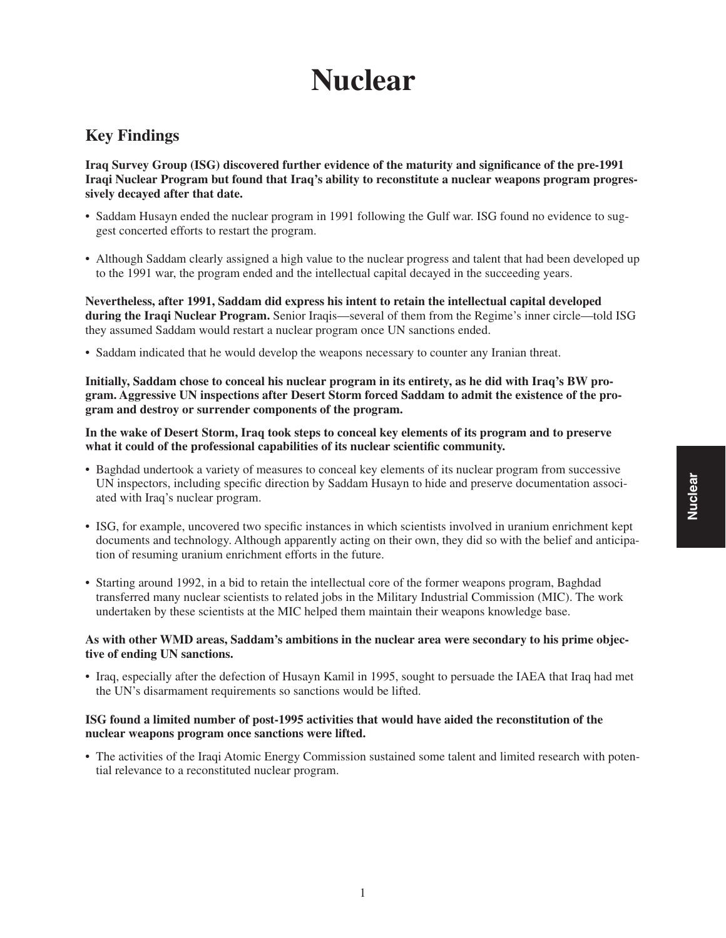## **Nuclear**

### **Key Findings**

**Iraq Survey Group (ISG) discovered further evidence of the maturity and significance of the pre-1991 Iraqi Nuclear Program but found that Iraq's ability to reconstitute a nuclear weapons program progressively decayed after that date.**

- Saddam Husayn ended the nuclear program in 1991 following the Gulf war. ISG found no evidence to suggest concerted efforts to restart the program.
- Although Saddam clearly assigned a high value to the nuclear progress and talent that had been developed up to the 1991 war, the program ended and the intellectual capital decayed in the succeeding years.

**Nevertheless, after 1991, Saddam did express his intent to retain the intellectual capital developed during the Iraqi Nuclear Program.** Senior Iraqis—several of them from the Regime's inner circle—told ISG they assumed Saddam would restart a nuclear program once UN sanctions ended.

• Saddam indicated that he would develop the weapons necessary to counter any Iranian threat.

**Initially, Saddam chose to conceal his nuclear program in its entirety, as he did with Iraq's BW program. Aggressive UN inspections after Desert Storm forced Saddam to admit the existence of the program and destroy or surrender components of the program.**

**In the wake of Desert Storm, Iraq took steps to conceal key elements of its program and to preserve**  what it could of the professional capabilities of its nuclear scientific community.

- Baghdad undertook a variety of measures to conceal key elements of its nuclear program from successive UN inspectors, including specific direction by Saddam Husayn to hide and preserve documentation associ-ated with Iraq's nuclear program.
- ISG, for example, uncovered two specific instances in which scientists involved in uranium enrichment kept documents and technology. Although apparently acting on their own, they did so with the belief and anticipation of resuming uranium enrichment efforts in the future.
- Starting around 1992, in a bid to retain the intellectual core of the former weapons program, Baghdad transferred many nuclear scientists to related jobs in the Military Industrial Commission (MIC). The work undertaken by these scientists at the MIC helped them maintain their weapons knowledge base.

#### **As with other WMD areas, Saddam's ambitions in the nuclear area were secondary to his prime objective of ending UN sanctions.**

• Iraq, especially after the defection of Husayn Kamil in 1995, sought to persuade the IAEA that Iraq had met the UN's disarmament requirements so sanctions would be lifted.

#### **ISG found a limited number of post-1995 activities that would have aided the reconstitution of the nuclear weapons program once sanctions were lifted.**

• The activities of the Iraqi Atomic Energy Commission sustained some talent and limited research with potential relevance to a reconstituted nuclear program.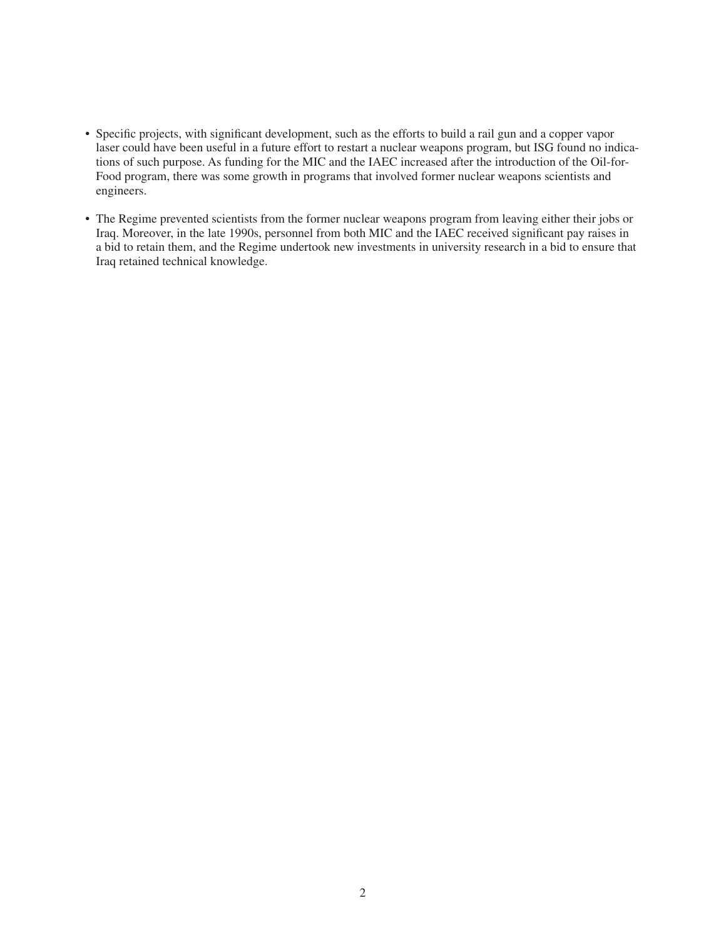- Specific projects, with significant development, such as the efforts to build a rail gun and a copper vapor laser could have been useful in a future effort to restart a nuclear weapons program, but ISG found no indications of such purpose. As funding for the MIC and the IAEC increased after the introduction of the Oil-for-Food program, there was some growth in programs that involved former nuclear weapons scientists and engineers.
- The Regime prevented scientists from the former nuclear weapons program from leaving either their jobs or Iraq. Moreover, in the late 1990s, personnel from both MIC and the IAEC received significant pay raises in a bid to retain them, and the Regime undertook new investments in university research in a bid to ensure that Iraq retained technical knowledge.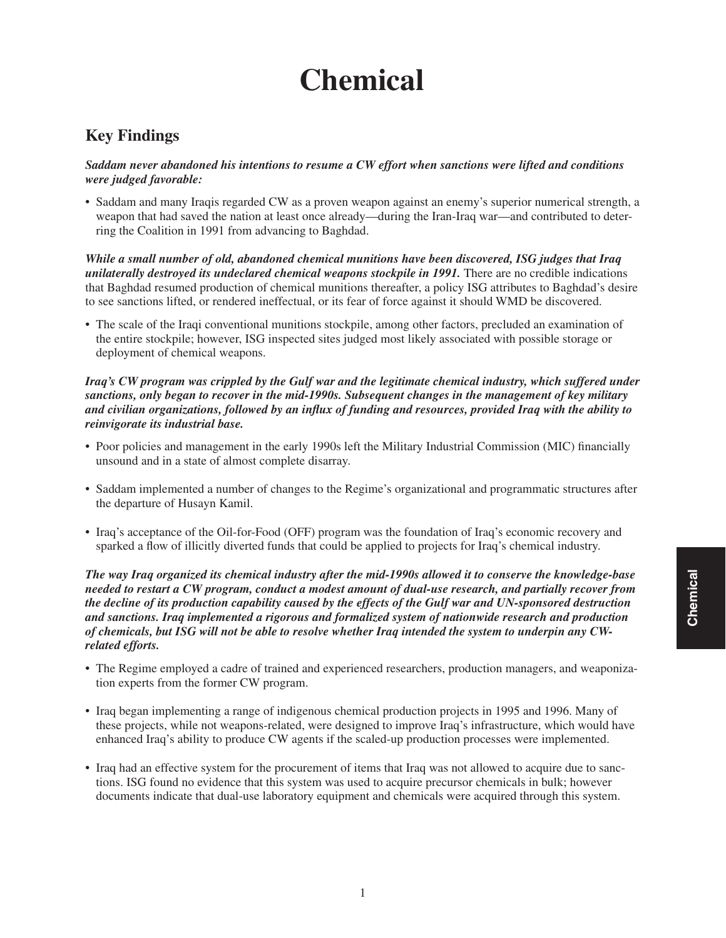## **Chemical**

### **Key Findings**

#### *Saddam never abandoned his intentions to resume a CW effort when sanctions were lifted and conditions were judged favorable:*

• Saddam and many Iraqis regarded CW as a proven weapon against an enemy's superior numerical strength, a weapon that had saved the nation at least once already—during the Iran-Iraq war—and contributed to deterring the Coalition in 1991 from advancing to Baghdad.

*While a small number of old, abandoned chemical munitions have been discovered, ISG judges that Iraq unilaterally destroyed its undeclared chemical weapons stockpile in 1991*. There are no credible indications that Baghdad resumed production of chemical munitions thereafter, a policy ISG attributes to Baghdad's desire to see sanctions lifted, or rendered ineffectual, or its fear of force against it should WMD be discovered.

• The scale of the Iraqi conventional munitions stockpile, among other factors, precluded an examination of the entire stockpile; however, ISG inspected sites judged most likely associated with possible storage or deployment of chemical weapons.

*Iraq's CW program was crippled by the Gulf war and the legitimate chemical industry, which suffered under sanctions, only began to recover in the mid-1990s. Subsequent changes in the management of key military*  and civilian organizations, followed by an influx of funding and resources, provided Iraq with the ability to *reinvigorate its industrial base.*

- Poor policies and management in the early 1990s left the Military Industrial Commission (MIC) financially unsound and in a state of almost complete disarray.
- Saddam implemented a number of changes to the Regime's organizational and programmatic structures after the departure of Husayn Kamil.
- Iraq's acceptance of the Oil-for-Food (OFF) program was the foundation of Iraq's economic recovery and sparked a flow of illicitly diverted funds that could be applied to projects for Iraq's chemical industry.

*The way Iraq organized its chemical industry after the mid-1990s allowed it to conserve the knowledge-base needed to restart a CW program, conduct a modest amount of dual-use research, and partially recover from the decline of its production capability caused by the effects of the Gulf war and UN-sponsored destruction and sanctions. Iraq implemented a rigorous and formalized system of nationwide research and production of chemicals, but ISG will not be able to resolve whether Iraq intended the system to underpin any CWrelated efforts.*

- The Regime employed a cadre of trained and experienced researchers, production managers, and weaponization experts from the former CW program.
- Iraq began implementing a range of indigenous chemical production projects in 1995 and 1996. Many of these projects, while not weapons-related, were designed to improve Iraq's infrastructure, which would have enhanced Iraq's ability to produce CW agents if the scaled-up production processes were implemented.
- Iraq had an effective system for the procurement of items that Iraq was not allowed to acquire due to sanctions. ISG found no evidence that this system was used to acquire precursor chemicals in bulk; however documents indicate that dual-use laboratory equipment and chemicals were acquired through this system.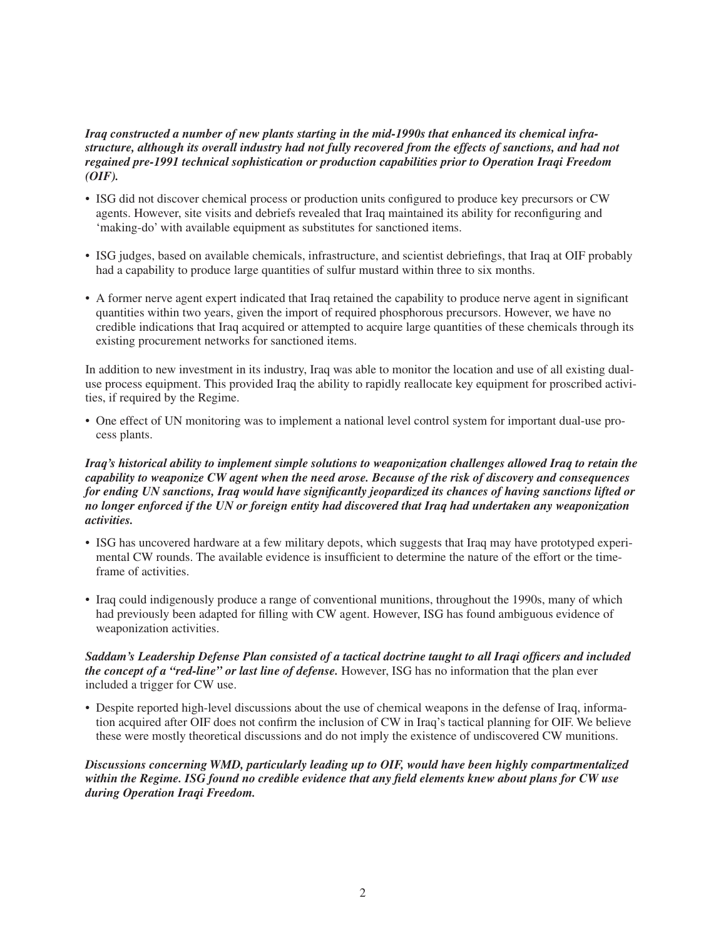#### *Iraq constructed a number of new plants starting in the mid-1990s that enhanced its chemical infrastructure, although its overall industry had not fully recovered from the effects of sanctions, and had not regained pre-1991 technical sophistication or production capabilities prior to Operation Iraqi Freedom (OIF).*

- ISG did not discover chemical process or production units configured to produce key precursors or CW agents. However, site visits and debriefs revealed that Iraq maintained its ability for reconfiguring and 'making-do' with available equipment as substitutes for sanctioned items.
- ISG judges, based on available chemicals, infrastructure, and scientist debriefings, that Iraq at OIF probably had a capability to produce large quantities of sulfur mustard within three to six months.
- A former nerve agent expert indicated that Iraq retained the capability to produce nerve agent in significant quantities within two years, given the import of required phosphorous precursors. However, we have no credible indications that Iraq acquired or attempted to acquire large quantities of these chemicals through its existing procurement networks for sanctioned items.

In addition to new investment in its industry, Iraq was able to monitor the location and use of all existing dualuse process equipment. This provided Iraq the ability to rapidly reallocate key equipment for proscribed activities, if required by the Regime.

• One effect of UN monitoring was to implement a national level control system for important dual-use process plants.

#### *Iraq's historical ability to implement simple solutions to weaponization challenges allowed Iraq to retain the capability to weaponize CW agent when the need arose. Because of the risk of discovery and consequences for ending UN sanctions, Iraq would have significantly jeopardized its chances of having sanctions lifted or no longer enforced if the UN or foreign entity had discovered that Iraq had undertaken any weaponization activities.*

- ISG has uncovered hardware at a few military depots, which suggests that Iraq may have prototyped experimental CW rounds. The available evidence is insufficient to determine the nature of the effort or the timeframe of activities.
- Iraq could indigenously produce a range of conventional munitions, throughout the 1990s, many of which had previously been adapted for filling with CW agent. However, ISG has found ambiguous evidence of weaponization activities.

#### *Saddam's Leadership Defense Plan consisted of a tactical doctrine taught to all Iraqi officers and included the concept of a "red-line" or last line of defense.* However, ISG has no information that the plan ever included a trigger for CW use.

• Despite reported high-level discussions about the use of chemical weapons in the defense of Iraq, information acquired after OIF does not confirm the inclusion of CW in Iraq's tactical planning for OIF. We believe these were mostly theoretical discussions and do not imply the existence of undiscovered CW munitions.

*Discussions concerning WMD, particularly leading up to OIF, would have been highly compartmentalized*  within the Regime. ISG found no credible evidence that any field elements knew about plans for CW use *during Operation Iraqi Freedom.*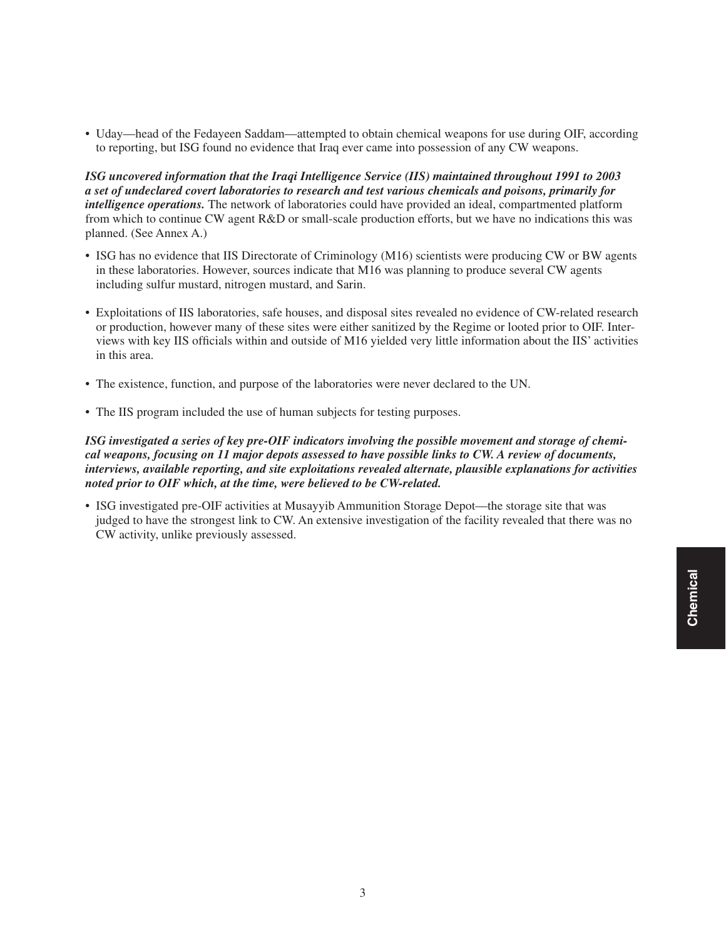• Uday—head of the Fedayeen Saddam—attempted to obtain chemical weapons for use during OIF, according to reporting, but ISG found no evidence that Iraq ever came into possession of any CW weapons.

*ISG uncovered information that the Iraqi Intelligence Service (IIS) maintained throughout 1991 to 2003 a set of undeclared covert laboratories to research and test various chemicals and poisons, primarily for intelligence operations*. The network of laboratories could have provided an ideal, compartmented platform from which to continue CW agent R&D or small-scale production efforts, but we have no indications this was planned. (See Annex A.)

- ISG has no evidence that IIS Directorate of Criminology (M16) scientists were producing CW or BW agents in these laboratories. However, sources indicate that M16 was planning to produce several CW agents including sulfur mustard, nitrogen mustard, and Sarin.
- Exploitations of IIS laboratories, safe houses, and disposal sites revealed no evidence of CW-related research or production, however many of these sites were either sanitized by the Regime or looted prior to OIF. Interviews with key IIS officials within and outside of M16 yielded very little information about the IIS' activities in this area.
- The existence, function, and purpose of the laboratories were never declared to the UN.
- The IIS program included the use of human subjects for testing purposes.

#### *ISG investigated a series of key pre-OIF indicators involving the possible movement and storage of chemical weapons, focusing on 11 major depots assessed to have possible links to CW. A review of documents, interviews, available reporting, and site exploitations revealed alternate, plausible explanations for activities noted prior to OIF which, at the time, were believed to be CW-related.*

• ISG investigated pre-OIF activities at Musayyib Ammunition Storage Depot—the storage site that was judged to have the strongest link to CW. An extensive investigation of the facility revealed that there was no CW activity, unlike previously assessed.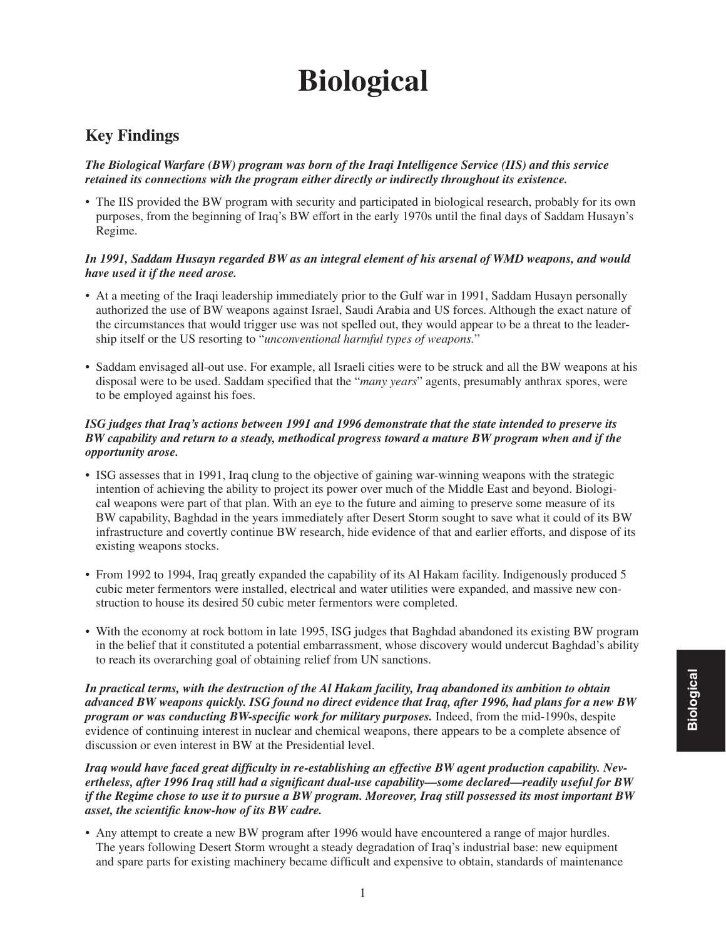# **Biological**

### **Key Findings**

#### *The Biological Warfare (BW) program was born of the Iraqi Intelligence Service (IIS) and this service retained its connections with the program either directly or indirectly throughout its existence.*

• The IIS provided the BW program with security and participated in biological research, probably for its own purposes, from the beginning of Iraq's BW effort in the early 1970s until the final days of Saddam Husayn's Regime.

#### *In 1991, Saddam Husayn regarded BW as an integral element of his arsenal of WMD weapons, and would have used it if the need arose.*

- At a meeting of the Iraqi leadership immediately prior to the Gulf war in 1991, Saddam Husayn personally authorized the use of BW weapons against Israel, Saudi Arabia and US forces. Although the exact nature of the circumstances that would trigger use was not spelled out, they would appear to be a threat to the leadership itself or the US resorting to "*unconventional harmful types of weapons.*"
- Saddam envisaged all-out use. For example, all Israeli cities were to be struck and all the BW weapons at his disposal were to be used. Saddam specified that the "*many years*" agents, presumably anthrax spores, were to be employed against his foes.

#### *ISG judges that Iraq's actions between 1991 and 1996 demonstrate that the state intended to preserve its BW capability and return to a steady, methodical progress toward a mature BW program when and if the opportunity arose.*

- ISG assesses that in 1991, Iraq clung to the objective of gaining war-winning weapons with the strategic intention of achieving the ability to project its power over much of the Middle East and beyond. Biological weapons were part of that plan. With an eye to the future and aiming to preserve some measure of its BW capability, Baghdad in the years immediately after Desert Storm sought to save what it could of its BW infrastructure and covertly continue BW research, hide evidence of that and earlier efforts, and dispose of its existing weapons stocks.
- From 1992 to 1994, Iraq greatly expanded the capability of its Al Hakam facility. Indigenously produced 5 cubic meter fermentors were installed, electrical and water utilities were expanded, and massive new construction to house its desired 50 cubic meter fermentors were completed.
- With the economy at rock bottom in late 1995, ISG judges that Baghdad abandoned its existing BW program in the belief that it constituted a potential embarrassment, whose discovery would undercut Baghdad's ability to reach its overarching goal of obtaining relief from UN sanctions.

*In practical terms, with the destruction of the Al Hakam facility, Iraq abandoned its ambition to obtain advanced BW weapons quickly. ISG found no direct evidence that Iraq, after 1996, had plans for a new BW program or was conducting BW-specific work for military purposes.* Indeed, from the mid-1990s, despite evidence of continuing interest in nuclear and chemical weapons, there appears to be a complete absence of discussion or even interest in BW at the Presidential level.

Iraq would have faced great difficulty in re-establishing an effective BW agent production capability. Nev*ertheless, after 1996 Iraq still had a significant dual-use capability—some declared—readily useful for BW if the Regime chose to use it to pursue a BW program. Moreover, Iraq still possessed its most important BW asset, the scientific know-how of its BW cadre.* 

• Any attempt to create a new BW program after 1996 would have encountered a range of major hurdles. The years following Desert Storm wrought a steady degradation of Iraq's industrial base: new equipment and spare parts for existing machinery became difficult and expensive to obtain, standards of maintenance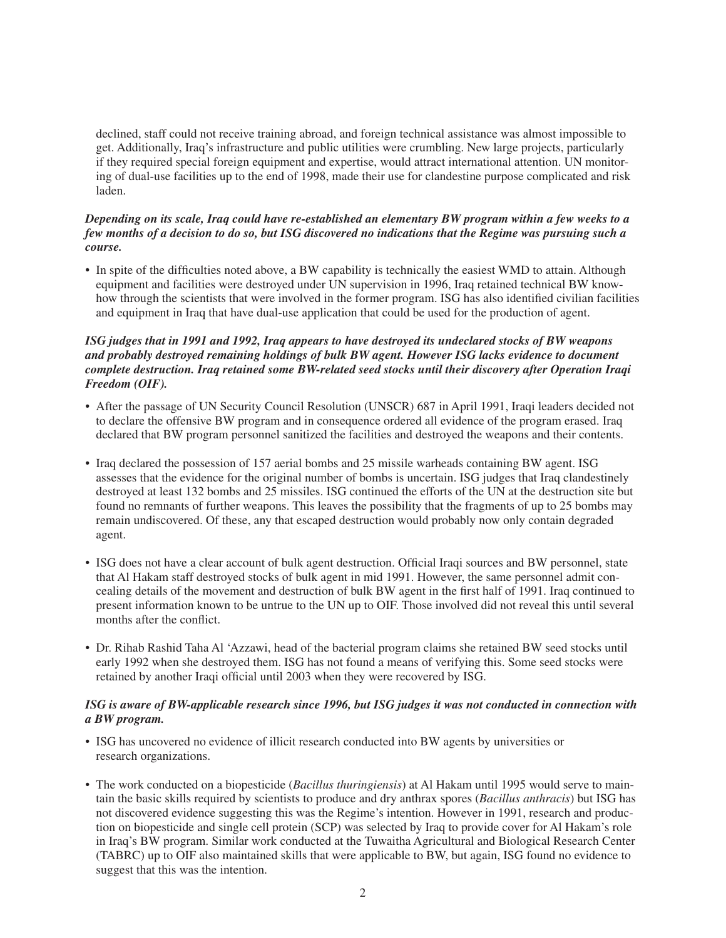declined, staff could not receive training abroad, and foreign technical assistance was almost impossible to get. Additionally, Iraq's infrastructure and public utilities were crumbling. New large projects, particularly if they required special foreign equipment and expertise, would attract international attention. UN monitoring of dual-use facilities up to the end of 1998, made their use for clandestine purpose complicated and risk laden.

#### *Depending on its scale, Iraq could have re-established an elementary BW program within a few weeks to a few months of a decision to do so, but ISG discovered no indications that the Regime was pursuing such a course.*

• In spite of the difficulties noted above, a BW capability is technically the easiest WMD to attain. Although equipment and facilities were destroyed under UN supervision in 1996, Iraq retained technical BW knowhow through the scientists that were involved in the former program. ISG has also identified civilian facilities and equipment in Iraq that have dual-use application that could be used for the production of agent.

#### *ISG judges that in 1991 and 1992, Iraq appears to have destroyed its undeclared stocks of BW weapons and probably destroyed remaining holdings of bulk BW agent. However ISG lacks evidence to document complete destruction. Iraq retained some BW-related seed stocks until their discovery after Operation Iraqi Freedom (OIF).*

- After the passage of UN Security Council Resolution (UNSCR) 687 in April 1991, Iraqi leaders decided not to declare the offensive BW program and in consequence ordered all evidence of the program erased. Iraq declared that BW program personnel sanitized the facilities and destroyed the weapons and their contents.
- Iraq declared the possession of 157 aerial bombs and 25 missile warheads containing BW agent. ISG assesses that the evidence for the original number of bombs is uncertain. ISG judges that Iraq clandestinely destroyed at least 132 bombs and 25 missiles. ISG continued the efforts of the UN at the destruction site but found no remnants of further weapons. This leaves the possibility that the fragments of up to 25 bombs may remain undiscovered. Of these, any that escaped destruction would probably now only contain degraded agent.
- ISG does not have a clear account of bulk agent destruction. Official Iraqi sources and BW personnel, state that Al Hakam staff destroyed stocks of bulk agent in mid 1991. However, the same personnel admit concealing details of the movement and destruction of bulk BW agent in the first half of 1991. Iraq continued to present information known to be untrue to the UN up to OIF. Those involved did not reveal this until several months after the conflict.
- Dr. Rihab Rashid Taha Al 'Azzawi, head of the bacterial program claims she retained BW seed stocks until early 1992 when she destroyed them. ISG has not found a means of verifying this. Some seed stocks were retained by another Iraqi official until 2003 when they were recovered by ISG.

#### *ISG is aware of BW-applicable research since 1996, but ISG judges it was not conducted in connection with a BW program.*

- ISG has uncovered no evidence of illicit research conducted into BW agents by universities or research organizations.
- The work conducted on a biopesticide (*Bacillus thuringiensis*) at Al Hakam until 1995 would serve to maintain the basic skills required by scientists to produce and dry anthrax spores (*Bacillus anthracis*) but ISG has not discovered evidence suggesting this was the Regime's intention. However in 1991, research and production on biopesticide and single cell protein (SCP) was selected by Iraq to provide cover for Al Hakam's role in Iraq's BW program. Similar work conducted at the Tuwaitha Agricultural and Biological Research Center (TABRC) up to OIF also maintained skills that were applicable to BW, but again, ISG found no evidence to suggest that this was the intention.